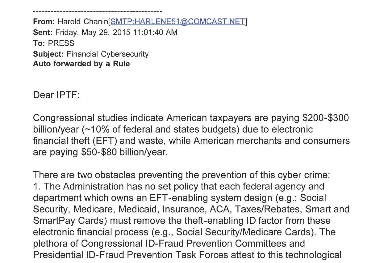From: Harold Chanin[SMTP:HARLENE51@COMCAST.NET] Sent: Friday, May 29, 2015 11:01:40 AM To: PRESS Subject: Financial Cybersecurity Auto forwarded by a Rule

Dear IPTF:

Congressional studies indicate American taxpayers are paying \$200-\$300 billion/year  $(-10\%$  of federal and states budgets) due to electronic financial theft (EFT) and waste, while American merchants and consumers are paying \$50-\$80 billion/year.

There are two obstacles preventing the prevention of this cyber crime: 1. The Administration has no set policy that each federal agency and department which owns an EFT-enabling system design (e.g.; Social Security, Medicare, Medicaid, Insurance, ACA, Taxes/Rebates, Smart and SmartPay Cards) must remove the theft-enabling ID factor from these electronic financial process (e.g., Social Security/Medicare Cards). The plethora of Congressional ID-Fraud Prevention Committees and Presidential ID-Fraud Prevention Task Forces attest to this technological